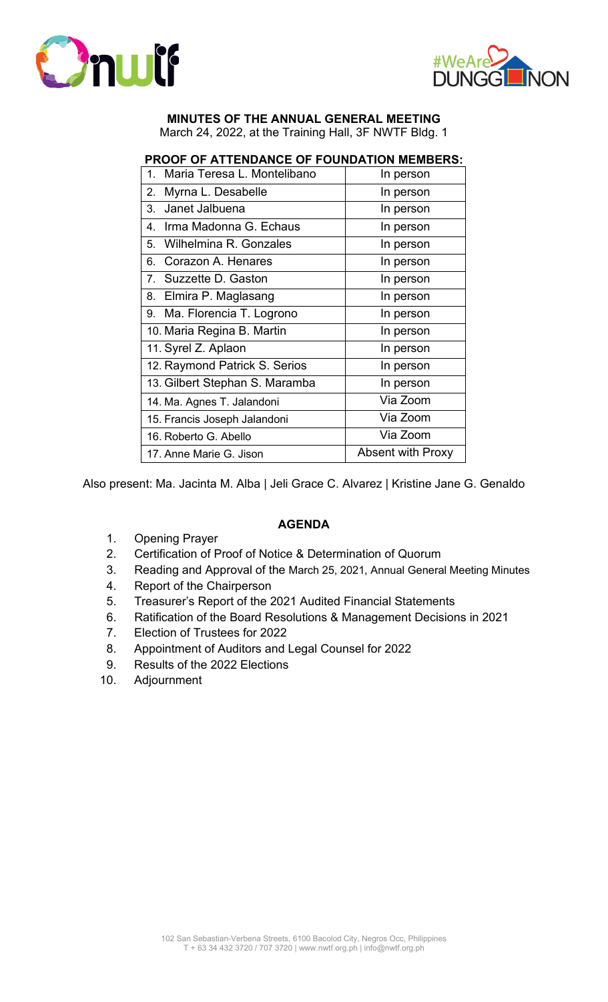



## **MINUTES OF THE ANNUAL GENERAL MEETING**

March 24, 2022, at the Training Hall, 3F NWTF Bldg. 1

# **PROOF OF ATTENDANCE OF FOUNDATION MEMBERS:**

| 1. Maria Teresa L. Montelibano   | In person         |  |  |
|----------------------------------|-------------------|--|--|
| Myrna L. Desabelle<br>2.         | In person         |  |  |
| Janet Jalbuena<br>3.             | In person         |  |  |
| 4. Irma Madonna G. Echaus        | In person         |  |  |
| 5. Wilhelmina R. Gonzales        | In person         |  |  |
| 6. Corazon A. Henares            | In person         |  |  |
| 7. Suzzette D. Gaston            | In person         |  |  |
| 8. Elmira P. Maglasang           | In person         |  |  |
| 9. Ma. Florencia T. Logrono      | In person         |  |  |
| 10. Maria Regina B. Martin       | In person         |  |  |
| 11. Syrel Z. Aplaon<br>In person |                   |  |  |
| 12. Raymond Patrick S. Serios    | In person         |  |  |
| 13. Gilbert Stephan S. Maramba   | In person         |  |  |
| 14. Ma. Agnes T. Jalandoni       | Via Zoom          |  |  |
| 15. Francis Joseph Jalandoni     | Via Zoom          |  |  |
| 16. Roberto G. Abello            | Via Zoom          |  |  |
| 17. Anne Marie G. Jison          | Absent with Proxy |  |  |

Also present: Ma. Jacinta M. Alba | Jeli Grace C. Alvarez | Kristine Jane G. Genaldo

### **AGENDA**

- 1. Opening Prayer
- 2. Certification of Proof of Notice & Determination of Quorum
- 3. Reading and Approval of the March 25, 2021, Annual General Meeting Minutes
- 4. Report of the Chairperson
- 5. Treasurer's Report of the 2021 Audited Financial Statements
- 6. Ratification of the Board Resolutions & Management Decisions in 2021
- 7. Election of Trustees for 2022
- 8. Appointment of Auditors and Legal Counsel for 2022
- 9. Results of the 2022 Elections
- 10. Adjournment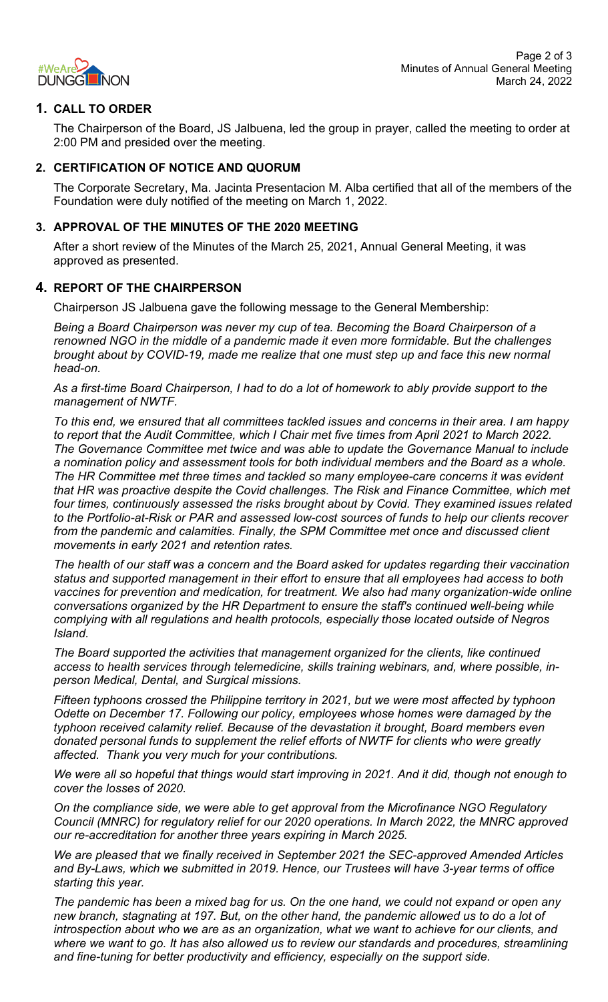

## **1. CALL TO ORDER**

The Chairperson of the Board, JS Jalbuena, led the group in prayer, called the meeting to order at 2:00 PM and presided over the meeting.

## **2. CERTIFICATION OF NOTICE AND QUORUM**

The Corporate Secretary, Ma. Jacinta Presentacion M. Alba certified that all of the members of the Foundation were duly notified of the meeting on March 1, 2022.

#### **3. APPROVAL OF THE MINUTES OF THE 2020 MEETING**

After a short review of the Minutes of the March 25, 2021, Annual General Meeting, it was approved as presented.

#### **4. REPORT OF THE CHAIRPERSON**

Chairperson JS Jalbuena gave the following message to the General Membership:

*Being a Board Chairperson was never my cup of tea. Becoming the Board Chairperson of a renowned NGO in the middle of a pandemic made it even more formidable. But the challenges brought about by COVID-19, made me realize that one must step up and face this new normal head-on.*

*As a first-time Board Chairperson, I had to do a lot of homework to ably provide support to the management of NWTF.*

*To this end, we ensured that all committees tackled issues and concerns in their area. I am happy to report that the Audit Committee, which I Chair met five times from April 2021 to March 2022. The Governance Committee met twice and was able to update the Governance Manual to include a nomination policy and assessment tools for both individual members and the Board as a whole. The HR Committee met three times and tackled so many employee-care concerns it was evident that HR was proactive despite the Covid challenges. The Risk and Finance Committee, which met four times, continuously assessed the risks brought about by Covid. They examined issues related to the Portfolio-at-Risk or PAR and assessed low-cost sources of funds to help our clients recover from the pandemic and calamities. Finally, the SPM Committee met once and discussed client movements in early 2021 and retention rates.*

*The health of our staff was a concern and the Board asked for updates regarding their vaccination status and supported management in their effort to ensure that all employees had access to both vaccines for prevention and medication, for treatment. We also had many organization-wide online conversations organized by the HR Department to ensure the staff's continued well-being while complying with all regulations and health protocols, especially those located outside of Negros Island.*

*The Board supported the activities that management organized for the clients, like continued access to health services through telemedicine, skills training webinars, and, where possible, inperson Medical, Dental, and Surgical missions.* 

*Fifteen typhoons crossed the Philippine territory in 2021, but we were most affected by typhoon Odette on December 17. Following our policy, employees whose homes were damaged by the typhoon received calamity relief. Because of the devastation it brought, Board members even donated personal funds to supplement the relief efforts of NWTF for clients who were greatly affected. Thank you very much for your contributions.*

*We were all so hopeful that things would start improving in 2021. And it did, though not enough to cover the losses of 2020.*

*On the compliance side, we were able to get approval from the Microfinance NGO Regulatory Council (MNRC) for regulatory relief for our 2020 operations. In March 2022, the MNRC approved our re-accreditation for another three years expiring in March 2025.*

*We are pleased that we finally received in September 2021 the SEC-approved Amended Articles and By-Laws, which we submitted in 2019. Hence, our Trustees will have 3-year terms of office starting this year.*

*The pandemic has been a mixed bag for us. On the one hand, we could not expand or open any new branch, stagnating at 197. But, on the other hand, the pandemic allowed us to do a lot of introspection about who we are as an organization, what we want to achieve for our clients, and where we want to go. It has also allowed us to review our standards and procedures, streamlining and fine-tuning for better productivity and efficiency, especially on the support side.*